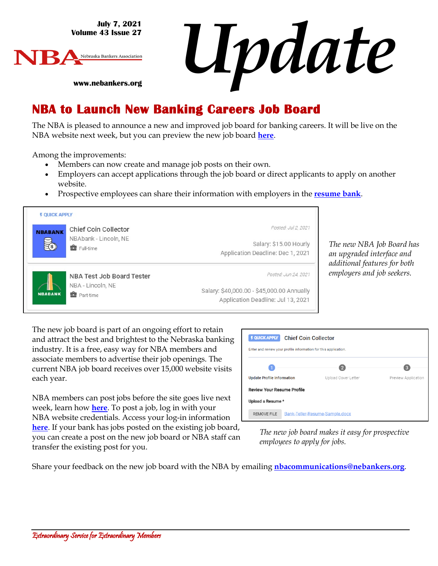**July 7, 2021 Volume 43 Issue 27**



*Update*

**www.nebankers.org**

#### **NBA to Launch New Banking Careers Job Board**

The NBA is pleased to announce a new and improved job board for banking careers. It will be live on the NBA website next week, but you can preview the new job board **[here](https://nebankers.mcjobboard.net/jobs)**.

Among the improvements:

- Members can now create and manage job posts on their own.
- Employers can accept applications through the job board or direct applicants to apply on another website.
- Prospective employees can share their information with employers in the **[resume bank](https://nebankers.mcjobboard.net/jobs/resume-bank)**.



*The new NBA Job Board has an upgraded interface and additional features for both employers and job seekers.* 

The new job board is part of an ongoing effort to retain and attract the best and brightest to the Nebraska banking industry. It is a free, easy way for NBA members and associate members to advertise their job openings. The current NBA job board receives over 15,000 website visits each year.

NBA members can post jobs before the site goes live next week, learn how **[here](https://youtu.be/R-Af03Z58BU)**. To post a job, log in with your NBA website credentials. Access your log-in information **[here](https://web.nebankers.org/portal/forgotlogin.aspx)**. If your bank has jobs posted on the existing job board, you can create a post on the new job board or NBA staff can transfer the existing post for you.

| <b>F QUICK APPLY</b><br><b>Chief Coin Collector</b><br>Enter and review your profile information for this application. |                                |                     |
|------------------------------------------------------------------------------------------------------------------------|--------------------------------|---------------------|
|                                                                                                                        |                                | 3                   |
| <b>Update Profile Information</b>                                                                                      | Upload Cover Letter            | Preview Application |
| <b>Review Your Resume Profile</b>                                                                                      |                                |                     |
| Upload a Resume *                                                                                                      |                                |                     |
| <b>REMOVE FILE</b>                                                                                                     | Bank-Teller-Resume-Sample.docx |                     |

*The new job board makes it easy for prospective employees to apply for jobs.* 

Share your feedback on the new job board with the NBA by emailing **[nbacommunications@nebankers.org](mailto:nbacommunications@nebankers.org)**.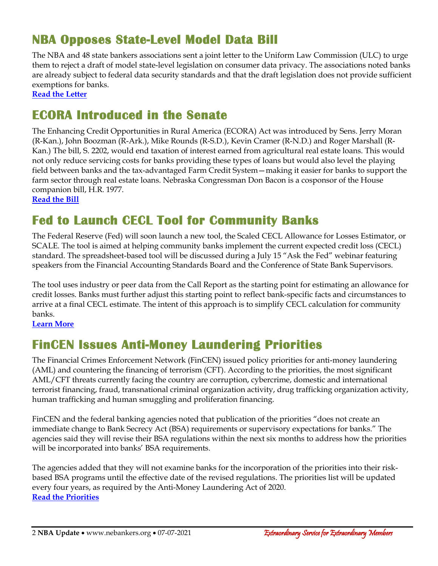# **NBA Opposes State-Level Model Data Bill**

The NBA and 48 state bankers associations sent a joint letter to the Uniform Law Commission (ULC) to urge them to reject a draft of model state-level legislation on consumer data privacy. The associations noted banks are already subject to federal data security standards and that the draft legislation does not provide sufficient exemptions for banks.

**[Read the Letter](https://www.aba.com/advocacy/policy-analysis/joint-letter-to-the-uniform-law-commission-on-the-draft-uniform-personal-data-protection-act)**

# **ECORA Introduced in the Senate**

The Enhancing Credit Opportunities in Rural America (ECORA) Act was introduced by Sens. Jerry Moran (R-Kan.), John Boozman (R-Ark.), Mike Rounds (R-S.D.), Kevin Cramer (R-N.D.) and Roger Marshall (R-Kan.) The bill, S. 2202, would end taxation of interest earned from agricultural real estate loans. This would not only reduce servicing costs for banks providing these types of loans but would also level the playing field between banks and the tax-advantaged Farm Credit System—making it easier for banks to support the farm sector through real estate loans. Nebraska Congressman Don Bacon is a cosponsor of the House companion bill, H.R. 1977.

**[Read the Bill](https://www.congress.gov/bill/117th-congress/senate-bill/2202?q=%7B%22search%22%3A%5B%22s+2202%22%5D%7D&s=2&r=1)**

# **Fed to Launch CECL Tool for Community Banks**

The Federal Reserve (Fed) will soon launch a new tool, the Scaled CECL Allowance for Losses Estimator, or SCALE. The tool is aimed at helping community banks implement the current expected credit loss (CECL) standard. The spreadsheet-based tool will be discussed during a July 15 "Ask the Fed" webinar featuring speakers from the Financial Accounting Standards Board and the Conference of State Bank Supervisors.

The tool uses industry or peer data from the Call Report as the starting point for estimating an allowance for credit losses. Banks must further adjust this starting point to reflect bank-specific facts and circumstances to arrive at a final CECL estimate. The intent of this approach is to simplify CECL calculation for community banks.

**[Learn More](https://www.federalreserve.gov/newsevents/pressreleases/bcreg20210701a.htm)**

# **FinCEN Issues Anti-Money Laundering Priorities**

The Financial Crimes Enforcement Network (FinCEN) issued policy priorities for anti-money laundering (AML) and countering the financing of terrorism (CFT). According to the priorities, the most significant AML/CFT threats currently facing the country are corruption, cybercrime, domestic and international terrorist financing, fraud, transnational criminal organization activity, drug trafficking organization activity, human trafficking and human smuggling and proliferation financing.

FinCEN and the federal banking agencies noted that publication of the priorities "does not create an immediate change to Bank Secrecy Act (BSA) requirements or supervisory expectations for banks." The agencies said they will revise their BSA regulations within the next six months to address how the priorities will be incorporated into banks' BSA requirements.

The agencies added that they will not examine banks for the incorporation of the priorities into their riskbased BSA programs until the effective date of the revised regulations. The priorities list will be updated every four years, as required by the Anti-Money Laundering Act of 2020. **[Read the Priorities](https://www.fincen.gov/sites/default/files/shared/AML_CFT%20Priorities%20(June%2030%2C%202021).pdf)**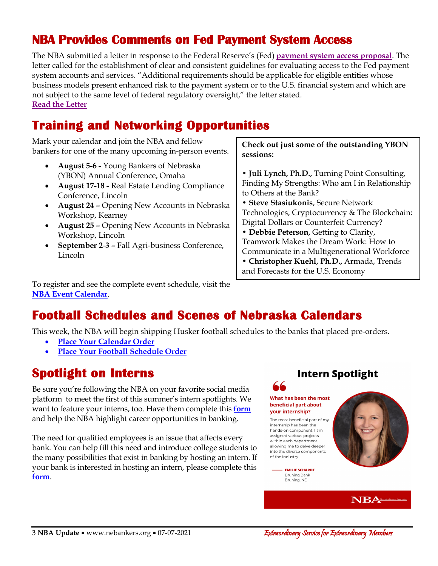#### **NBA Provides Comments on Fed Payment System Access**

The NBA submitted a letter in response to the Federal Reserve's (Fed) **[payment system access proposal](https://www.federalregister.gov/documents/2021/05/11/2021-09873/proposed-guidelines-for-evaluating-account-and-services-requests)**. The letter called for the establishment of clear and consistent guidelines for evaluating access to the Fed payment system accounts and services. "Additional requirements should be applicable for eligible entities whose business models present enhanced risk to the payment system or to the U.S. financial system and which are not subject to the same level of federal regulatory oversight," the letter stated. **[Read the Letter](http://www.nebankers.org/uploads/8/1/6/4/81640974/2021-07-06_nba-fed_payments_system.pdf)**

# **Training and Networking Opportunities**

Mark your calendar and join the NBA and fellow bankers for one of the many upcoming in-person events.

- **August 5-6 -** Young Bankers of Nebraska (YBON) Annual Conference, Omaha
- **August 17-18 -** Real Estate Lending Compliance Conference, Lincoln
- **August 24 –** Opening New Accounts in Nebraska Workshop, Kearney
- **August 25 –** Opening New Accounts in Nebraska Workshop, Lincoln
- **September 2**-**3 –** Fall Agri-business Conference, Lincoln

**Check out just some of the outstanding YBON sessions:**

- **Juli Lynch, Ph.D.,** Turning Point Consulting, Finding My Strengths: Who am I in Relationship to Others at the Bank?
- **Steve Stasiukonis**, Secure Network Technologies, Cryptocurrency & The Blockchain: Digital Dollars or Counterfeit Currency?
- **Debbie Peterson,** Getting to Clarity, Teamwork Makes the Dream Work: How to Communicate in a Multigenerational Workforce
- **Christopher Kuehl, Ph.D.,** Armada, Trends and Forecasts for the U.S. Economy

To register and see the complete event schedule, visit the **[NBA Event Calendar](https://web.nebankers.org/events)**.

## **Football Schedules and Scenes of Nebraska Calendars**

This week, the NBA will begin shipping Husker football schedules to the banks that placed pre-orders.

- **[Place Your Calendar Order](https://www.nebankers.org/calendars.html)**
- **[Place Your Football Schedule Order](https://www.nebankers.org/footballschedules.html)**

## **Spotlight on Interns**

Be sure you're following the NBA on your favorite social media platform to meet the first of this summer's intern spotlights. We want to feature your interns, too. Have them complete this **[form](https://www.nebankers.org/internship-spotlight-form.html)** and help the NBA highlight career opportunities in banking.

The need for qualified employees is an issue that affects every bank. You can help fill this need and introduce college students to the many possibilities that exist in banking by hosting an intern. If your bank is interested in hosting an intern, please complete this **[form](https://www.nebankers.org/intern-host.html)**.

#### **Intern Spotlight**

#### What has been the most beneficial part about your internship?

66

The most beneficial part of my internship has been the hands-on component. I am assigned various projects within each department allowing me to delve deeper into the diverse components of the industry.

> - EMILIE SCHARDT **Bruning Bank** Bruning, NE